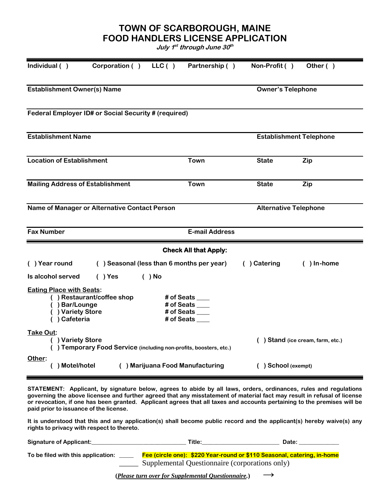**TOWN OF SCARBOROUGH, MAINE FOOD HANDLERS LICENSE APPLICATION**

**July 1 st through June 30 th**

| Individual ()                                                                                      | Corporation ()                            | LLC()                          | Partnership ()                                                     | Non-Profit ()                | Other ()  |  |
|----------------------------------------------------------------------------------------------------|-------------------------------------------|--------------------------------|--------------------------------------------------------------------|------------------------------|-----------|--|
| <b>Establishment Owner(s) Name</b>                                                                 |                                           | <b>Owner's Telephone</b>       |                                                                    |                              |           |  |
| Federal Employer ID# or Social Security # (required)                                               |                                           |                                |                                                                    |                              |           |  |
| <b>Establishment Name</b>                                                                          |                                           | <b>Establishment Telephone</b> |                                                                    |                              |           |  |
| <b>Location of Establishment</b>                                                                   |                                           |                                | <b>Town</b>                                                        | <b>State</b>                 | Zip       |  |
| <b>Mailing Address of Establishment</b>                                                            |                                           |                                | Town                                                               | <b>State</b>                 | Zip       |  |
| Name of Manager or Alternative Contact Person                                                      |                                           |                                |                                                                    | <b>Alternative Telephone</b> |           |  |
| <b>Fax Number</b>                                                                                  |                                           |                                | <b>E-mail Address</b>                                              |                              |           |  |
|                                                                                                    |                                           |                                | <b>Check All that Apply:</b>                                       |                              |           |  |
| () Year round                                                                                      | () Seasonal (less than 6 months per year) |                                |                                                                    | () Catering                  | ) In-home |  |
| Is alcohol served                                                                                  | $( )$ Yes                                 | $( )$ No                       |                                                                    |                              |           |  |
| <b>Eating Place with Seats:</b><br>) Bar/Lounge<br>) Variety Store<br>) Cafeteria                  | ) Restaurant/coffee shop                  |                                | # of Seats ___<br># of Seats ____<br># of Seats ____<br># of Seats |                              |           |  |
| Take Out:<br>() Variety Store<br>() Temporary Food Service (including non-profits, boosters, etc.) |                                           |                                | ) Stand (ice cream, farm, etc.)                                    |                              |           |  |
| Other:<br>() Motel/hotel<br>() Marijuana Food Manufacturing                                        |                                           |                                | () School (exempt)                                                 |                              |           |  |

**STATEMENT: Applicant, by signature below, agrees to abide by all laws, orders, ordinances, rules and regulations governing the above licensee and further agreed that any misstatement of material fact may result in refusal of license or revocation, if one has been granted. Applicant agrees that all taxes and accounts pertaining to the premises will be paid prior to issuance of the license.**

**It is understood that this and any application(s) shall become public record and the applicant(s) hereby waive(s) any rights to privacy with respect to thereto.**

| <b>Signature of Applicant:</b>     | Title:                                                                  | Date: |  |  |  |
|------------------------------------|-------------------------------------------------------------------------|-------|--|--|--|
| To be filed with this application: | Fee (circle one): \$220 Year-round or \$110 Seasonal, catering, in-home |       |  |  |  |
|                                    | Supplemental Questionnaire (corporations only)                          |       |  |  |  |

**(***Please turn over for Supplemental Questionnaire.***) →**